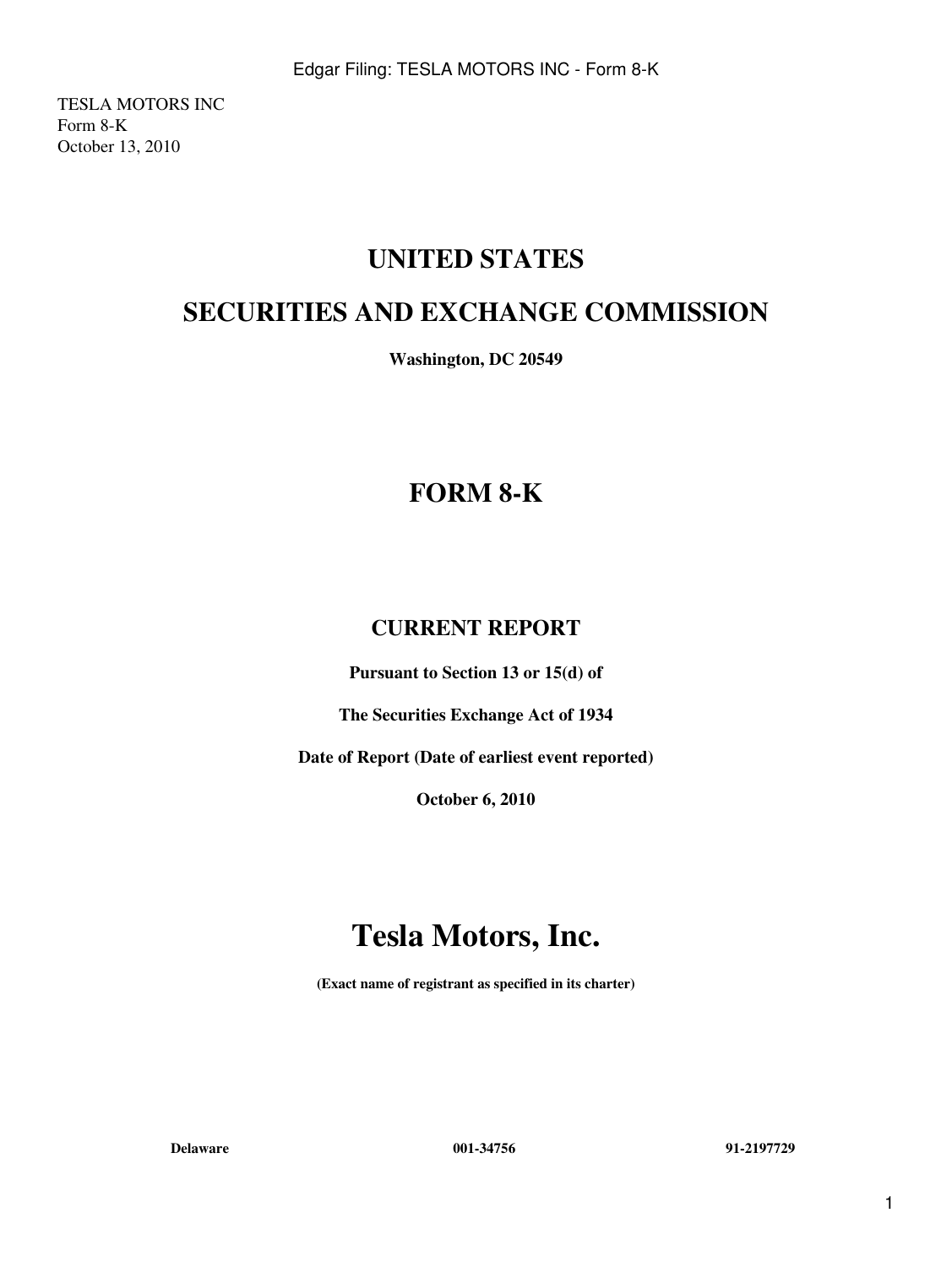TESLA MOTORS INC Form 8-K October 13, 2010

## **UNITED STATES**

## **SECURITIES AND EXCHANGE COMMISSION**

**Washington, DC 20549**

## **FORM 8-K**

### **CURRENT REPORT**

**Pursuant to Section 13 or 15(d) of**

**The Securities Exchange Act of 1934**

**Date of Report (Date of earliest event reported)**

**October 6, 2010**

# **Tesla Motors, Inc.**

**(Exact name of registrant as specified in its charter)**

**Delaware 001-34756 91-2197729**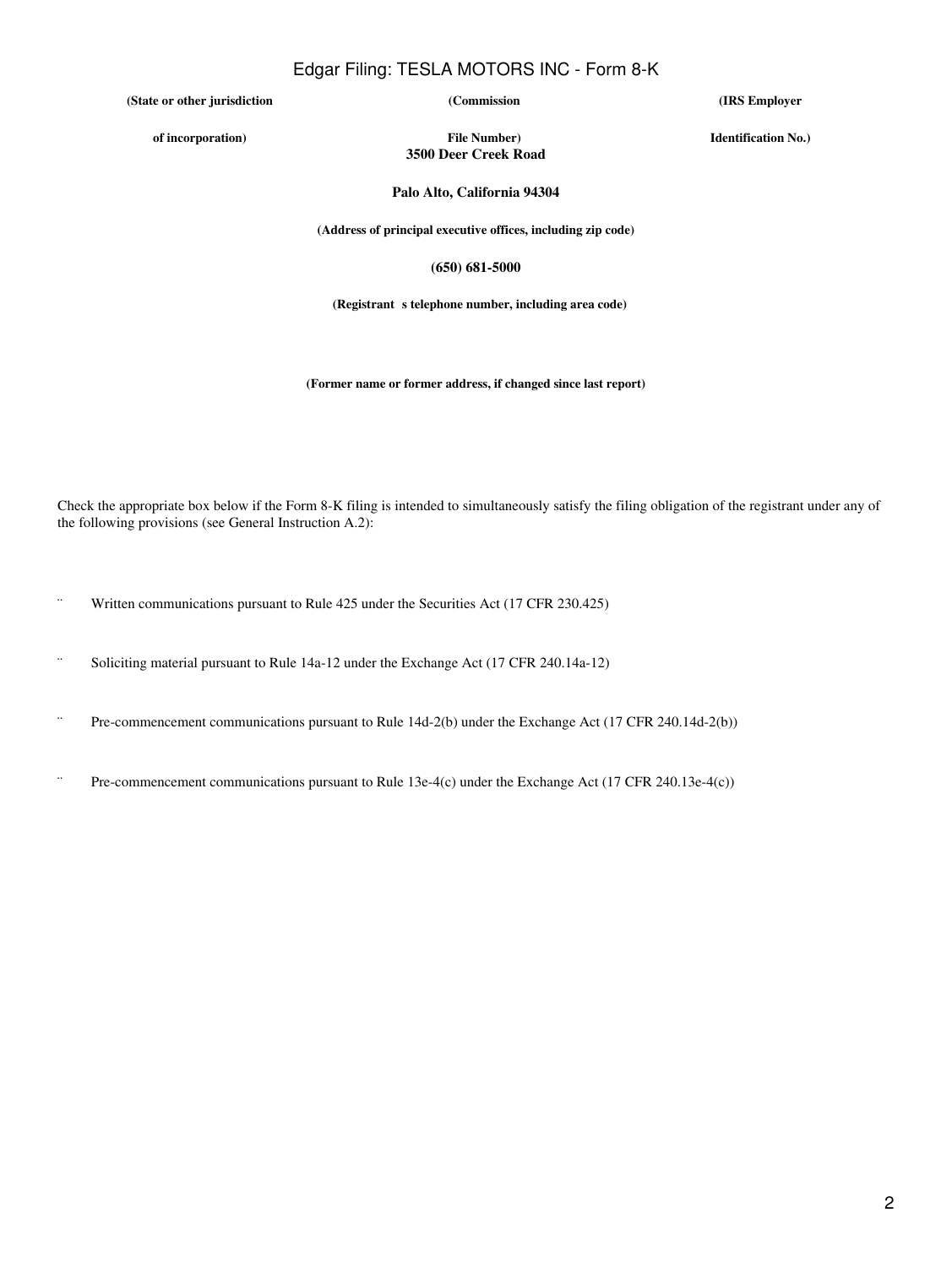### Edgar Filing: TESLA MOTORS INC - Form 8-K

**(State or other jurisdiction**

**(Commission**

**(IRS Employer**

**of incorporation)**

**File Number) 3500 Deer Creek Road** **Identification No.)**

**Palo Alto, California 94304**

**(Address of principal executive offices, including zip code)**

**(650) 681-5000**

(Registrant s telephone number, including area code)

**(Former name or former address, if changed since last report)**

Check the appropriate box below if the Form 8-K filing is intended to simultaneously satisfy the filing obligation of the registrant under any of the following provisions (see General Instruction A.2):

¨ Written communications pursuant to Rule 425 under the Securities Act (17 CFR 230.425)

¨ Soliciting material pursuant to Rule 14a-12 under the Exchange Act (17 CFR 240.14a-12)

¨ Pre-commencement communications pursuant to Rule 14d-2(b) under the Exchange Act (17 CFR 240.14d-2(b))

¨ Pre-commencement communications pursuant to Rule 13e-4(c) under the Exchange Act (17 CFR 240.13e-4(c))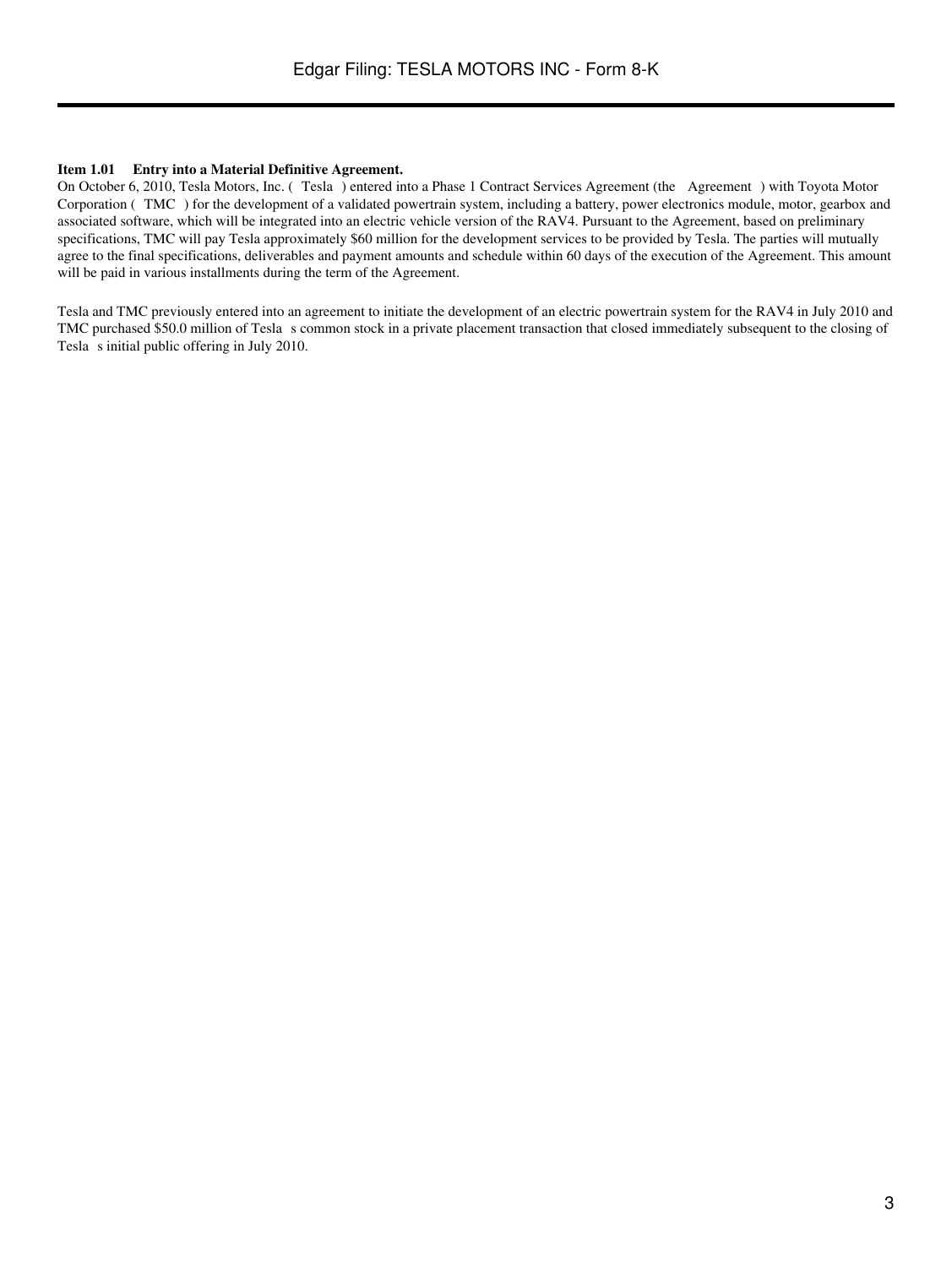#### **Item 1.01 Entry into a Material Definitive Agreement.**

On October 6, 2010, Tesla Motors, Inc. (Tesla) entered into a Phase 1 Contract Services Agreement (the Agreement) with Toyota Motor Corporation (TMC) for the development of a validated powertrain system, including a battery, power electronics module, motor, gearbox and associated software, which will be integrated into an electric vehicle version of the RAV4. Pursuant to the Agreement, based on preliminary specifications, TMC will pay Tesla approximately \$60 million for the development services to be provided by Tesla. The parties will mutually agree to the final specifications, deliverables and payment amounts and schedule within 60 days of the execution of the Agreement. This amount will be paid in various installments during the term of the Agreement.

Tesla and TMC previously entered into an agreement to initiate the development of an electric powertrain system for the RAV4 in July 2010 and TMC purchased \$50.0 million of Tesla s common stock in a private placement transaction that closed immediately subsequent to the closing of Tesla s initial public offering in July 2010.